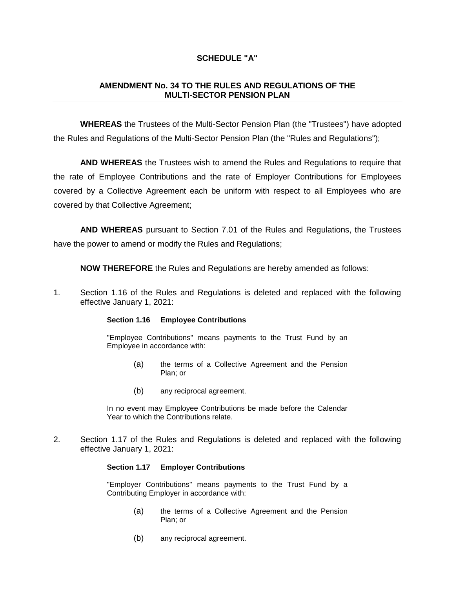# **SCHEDULE "A"**

# **AMENDMENT No. 34 TO THE RULES AND REGULATIONS OF THE MULTI-SECTOR PENSION PLAN**

**WHEREAS** the Trustees of the Multi-Sector Pension Plan (the "Trustees") have adopted the Rules and Regulations of the Multi-Sector Pension Plan (the "Rules and Regulations");

**AND WHEREAS** the Trustees wish to amend the Rules and Regulations to require that the rate of Employee Contributions and the rate of Employer Contributions for Employees covered by a Collective Agreement each be uniform with respect to all Employees who are covered by that Collective Agreement;

**AND WHEREAS** pursuant to Section 7.01 of the Rules and Regulations, the Trustees have the power to amend or modify the Rules and Regulations;

**NOW THEREFORE** the Rules and Regulations are hereby amended as follows:

1. Section 1.16 of the Rules and Regulations is deleted and replaced with the following effective January 1, 2021:

### **Section 1.16 Employee Contributions**

"Employee Contributions" means payments to the Trust Fund by an Employee in accordance with:

- (a) the terms of a Collective Agreement and the Pension Plan; or
- (b) any reciprocal agreement.

In no event may Employee Contributions be made before the Calendar Year to which the Contributions relate.

2. Section 1.17 of the Rules and Regulations is deleted and replaced with the following effective January 1, 2021:

### **Section 1.17 Employer Contributions**

"Employer Contributions" means payments to the Trust Fund by a Contributing Employer in accordance with:

- (a) the terms of a Collective Agreement and the Pension Plan; or
- (b) any reciprocal agreement.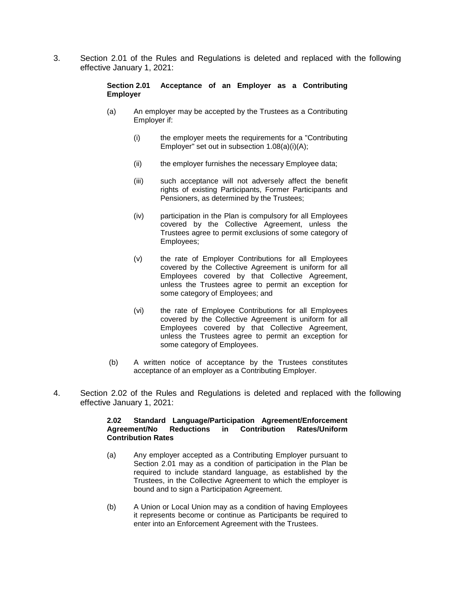3. Section 2.01 of the Rules and Regulations is deleted and replaced with the following effective January 1, 2021:

# **Section 2.01 Acceptance of an Employer as a Contributing Employer**

- (a) An employer may be accepted by the Trustees as a Contributing Employer if:
	- (i) the employer meets the requirements for a "Contributing Employer" set out in subsection 1.08(a)(i)(A);
	- (ii) the employer furnishes the necessary Employee data;
	- (iii) such acceptance will not adversely affect the benefit rights of existing Participants, Former Participants and Pensioners, as determined by the Trustees;
	- (iv) participation in the Plan is compulsory for all Employees covered by the Collective Agreement, unless the Trustees agree to permit exclusions of some category of Employees;
	- (v) the rate of Employer Contributions for all Employees covered by the Collective Agreement is uniform for all Employees covered by that Collective Agreement, unless the Trustees agree to permit an exception for some category of Employees; and
	- (vi) the rate of Employee Contributions for all Employees covered by the Collective Agreement is uniform for all Employees covered by that Collective Agreement, unless the Trustees agree to permit an exception for some category of Employees.
- (b) A written notice of acceptance by the Trustees constitutes acceptance of an employer as a Contributing Employer.
- 4. Section 2.02 of the Rules and Regulations is deleted and replaced with the following effective January 1, 2021:

## **2.02 Standard Language/Participation Agreement/Enforcement Reductions in Contribution Rates**

- (a) Any employer accepted as a Contributing Employer pursuant to Section 2.01 may as a condition of participation in the Plan be required to include standard language, as established by the Trustees, in the Collective Agreement to which the employer is bound and to sign a Participation Agreement.
- (b) A Union or Local Union may as a condition of having Employees it represents become or continue as Participants be required to enter into an Enforcement Agreement with the Trustees.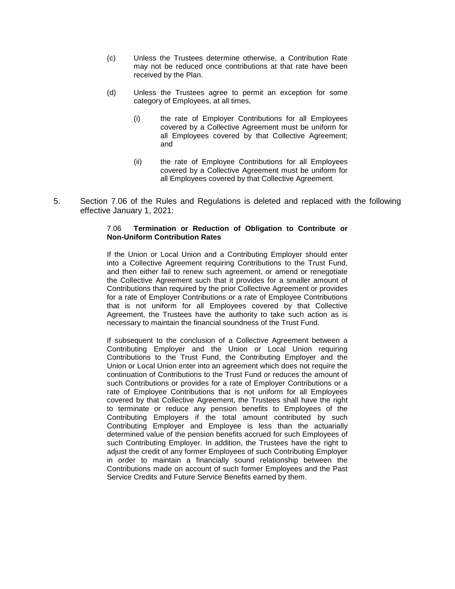- (c) Unless the Trustees determine otherwise, a Contribution Rate may not be reduced once contributions at that rate have been received by the Plan.
- (d) Unless the Trustees agree to permit an exception for some category of Employees, at all times,
	- (i) the rate of Employer Contributions for all Employees covered by a Collective Agreement must be uniform for all Employees covered by that Collective Agreement; and
	- (ii) the rate of Employee Contributions for all Employees covered by a Collective Agreement must be uniform for all Employees covered by that Collective Agreement.
- 5. Section 7.06 of the Rules and Regulations is deleted and replaced with the following effective January 1, 2021:

## 7.06 **Termination or Reduction of Obligation to Contribute or Non-Uniform Contribution Rates**

If the Union or Local Union and a Contributing Employer should enter into a Collective Agreement requiring Contributions to the Trust Fund, and then either fail to renew such agreement, or amend or renegotiate the Collective Agreement such that it provides for a smaller amount of Contributions than required by the prior Collective Agreement or provides for a rate of Employer Contributions or a rate of Employee Contributions that is not uniform for all Employees covered by that Collective Agreement, the Trustees have the authority to take such action as is necessary to maintain the financial soundness of the Trust Fund.

If subsequent to the conclusion of a Collective Agreement between a Contributing Employer and the Union or Local Union requiring Contributions to the Trust Fund, the Contributing Employer and the Union or Local Union enter into an agreement which does not require the continuation of Contributions to the Trust Fund or reduces the amount of such Contributions or provides for a rate of Employer Contributions or a rate of Employee Contributions that is not uniform for all Employees covered by that Collective Agreement, the Trustees shall have the right to terminate or reduce any pension benefits to Employees of the Contributing Employers if the total amount contributed by such Contributing Employer and Employee is less than the actuarially determined value of the pension benefits accrued for such Employees of such Contributing Employer. In addition, the Trustees have the right to adjust the credit of any former Employees of such Contributing Employer in order to maintain a financially sound relationship between the Contributions made on account of such former Employees and the Past Service Credits and Future Service Benefits earned by them.